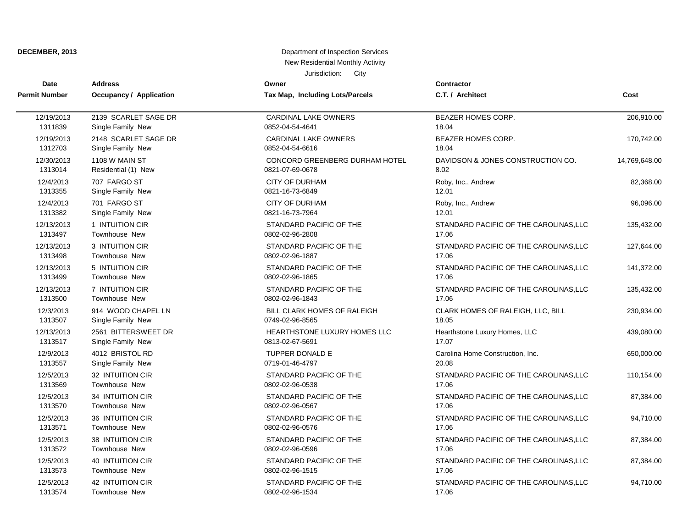| <b>Date</b>          | <b>Address</b>                 | Owner                                 | <b>Contractor</b>                      | Cost          |
|----------------------|--------------------------------|---------------------------------------|----------------------------------------|---------------|
| <b>Permit Number</b> | <b>Occupancy / Application</b> | Tax Map, Including Lots/Parcels       | C.T. / Architect                       |               |
|                      |                                |                                       |                                        |               |
| 12/19/2013           | 2139 SCARLET SAGE DR           | <b>CARDINAL LAKE OWNERS</b>           | BEAZER HOMES CORP.                     | 206,910.00    |
| 1311839              | Single Family New              | 0852-04-54-4641                       | 18.04                                  |               |
| 12/19/2013           | 2148 SCARLET SAGE DR           | <b>CARDINAL LAKE OWNERS</b>           | BEAZER HOMES CORP.                     | 170,742.00    |
| 1312703              | Single Family New              | 0852-04-54-6616                       | 18.04                                  |               |
| 12/30/2013           | 1108 W MAIN ST                 | <b>CONCORD GREENBERG DURHAM HOTEL</b> | DAVIDSON & JONES CONSTRUCTION CO.      | 14,769,648.00 |
| 1313014              | Residential (1) New            | 0821-07-69-0678                       | 8.02                                   |               |
| 12/4/2013            | 707 FARGO ST                   | <b>CITY OF DURHAM</b>                 | Roby, Inc., Andrew                     | 82,368.00     |
| 1313355              | Single Family New              | 0821-16-73-6849                       | 12.01                                  |               |
| 12/4/2013            | 701 FARGO ST                   | <b>CITY OF DURHAM</b>                 | Roby, Inc., Andrew                     | 96,096.00     |
| 1313382              | Single Family New              | 0821-16-73-7964                       | 12.01                                  |               |
| 12/13/2013           | 1 INTUITION CIR                | STANDARD PACIFIC OF THE               | STANDARD PACIFIC OF THE CAROLINAS, LLC | 135,432.00    |
| 1313497              | <b>Townhouse New</b>           | 0802-02-96-2808                       | 17.06                                  |               |
| 12/13/2013           | 3 INTUITION CIR                | STANDARD PACIFIC OF THE               | STANDARD PACIFIC OF THE CAROLINAS, LLC | 127,644.00    |
| 1313498              | Townhouse New                  | 0802-02-96-1887                       | 17.06                                  |               |
| 12/13/2013           | 5 INTUITION CIR                | STANDARD PACIFIC OF THE               | STANDARD PACIFIC OF THE CAROLINAS, LLC | 141,372.00    |
| 1313499              | Townhouse New                  | 0802-02-96-1865                       | 17.06                                  |               |
| 12/13/2013           | 7 INTUITION CIR                | STANDARD PACIFIC OF THE               | STANDARD PACIFIC OF THE CAROLINAS, LLC | 135,432.00    |
| 1313500              | <b>Townhouse New</b>           | 0802-02-96-1843                       | 17.06                                  |               |
| 12/3/2013            | 914 WOOD CHAPEL LN             | BILL CLARK HOMES OF RALEIGH           | CLARK HOMES OF RALEIGH, LLC, BILL      | 230,934.00    |
| 1313507              | Single Family New              | 0749-02-96-8565                       | 18.05                                  |               |
| 12/13/2013           | 2561 BITTERSWEET DR            | HEARTHSTONE LUXURY HOMES LLC          | Hearthstone Luxury Homes, LLC          | 439,080.00    |
| 1313517              | Single Family New              | 0813-02-67-5691                       | 17.07                                  |               |
| 12/9/2013            | 4012 BRISTOL RD                | <b>TUPPER DONALD E</b>                | Carolina Home Construction, Inc.       | 650,000.00    |
| 1313557              | Single Family New              | 0719-01-46-4797                       | 20.08                                  |               |
| 12/5/2013            | 32 INTUITION CIR               | STANDARD PACIFIC OF THE               | STANDARD PACIFIC OF THE CAROLINAS, LLC | 110,154.00    |
| 1313569              | Townhouse New                  | 0802-02-96-0538                       | 17.06                                  |               |
| 12/5/2013            | 34 INTUITION CIR               | STANDARD PACIFIC OF THE               | STANDARD PACIFIC OF THE CAROLINAS, LLC | 87,384.00     |
| 1313570              | Townhouse New                  | 0802-02-96-0567                       | 17.06                                  |               |
| 12/5/2013            | 36 INTUITION CIR               | STANDARD PACIFIC OF THE               | STANDARD PACIFIC OF THE CAROLINAS, LLC | 94,710.00     |
| 1313571              | <b>Townhouse New</b>           | 0802-02-96-0576                       | 17.06                                  |               |
| 12/5/2013            | 38 INTUITION CIR               | STANDARD PACIFIC OF THE               | STANDARD PACIFIC OF THE CAROLINAS, LLC | 87,384.00     |
| 1313572              | Townhouse New                  | 0802-02-96-0596                       | 17.06                                  |               |
| 12/5/2013            | <b>40 INTUITION CIR</b>        | STANDARD PACIFIC OF THE               | STANDARD PACIFIC OF THE CAROLINAS, LLC | 87,384.00     |
| 1313573              | <b>Townhouse New</b>           | 0802-02-96-1515                       | 17.06                                  |               |
| 12/5/2013            | <b>42 INTUITION CIR</b>        | STANDARD PACIFIC OF THE               | STANDARD PACIFIC OF THE CAROLINAS, LLC | 94,710.00     |
| 1313574              | Townhouse New                  | 0802-02-96-1534                       | 17.06                                  |               |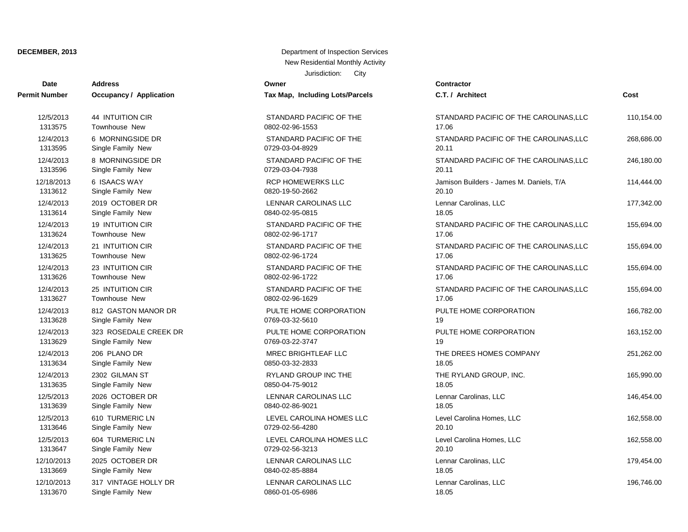| Date                 | <b>Address</b>                 | Owner                           | Contractor      |
|----------------------|--------------------------------|---------------------------------|-----------------|
| <b>Permit Number</b> | <b>Occupancy / Application</b> | Tax Map, Including Lots/Parcels | C.T. / Arch     |
| 12/5/2013            | <b>44 INTUITION CIR</b>        | STANDARD PACIFIC OF THE         | <b>STANDARI</b> |
| 1313575              | <b>Townhouse New</b>           | 0802-02-96-1553                 | 17.06           |
| 12/4/2013            | 6 MORNINGSIDE DR               | STANDARD PACIFIC OF THE         | <b>STANDARI</b> |
| 1313595              | Single Family New              | 0729-03-04-8929                 | 20.11           |
| 12/4/2013            | 8 MORNINGSIDE DR               | STANDARD PACIFIC OF THE         | <b>STANDARI</b> |
| 1313596              | Single Family New              | 0729-03-04-7938                 | 20.11           |
| 12/18/2013           | 6 ISAACS WAY                   | <b>RCP HOMEWERKS LLC</b>        | Jamison Bu      |
| 1313612              | Single Family New              | 0820-19-50-2662                 | 20.10           |
| 12/4/2013            | 2019 OCTOBER DR                | LENNAR CAROLINAS LLC            | Lennar Car      |
| 1313614              | Single Family New              | 0840-02-95-0815                 | 18.05           |
| 12/4/2013            | <b>19 INTUITION CIR</b>        | STANDARD PACIFIC OF THE         | <b>STANDARI</b> |
| 1313624              | Townhouse New                  | 0802-02-96-1717                 | 17.06           |
| 12/4/2013            | 21 INTUITION CIR               | STANDARD PACIFIC OF THE         | <b>STANDARI</b> |
| 1313625              | <b>Townhouse New</b>           | 0802-02-96-1724                 | 17.06           |
| 12/4/2013            | 23 INTUITION CIR               | STANDARD PACIFIC OF THE         | <b>STANDARI</b> |
| 1313626              | Townhouse New                  | 0802-02-96-1722                 | 17.06           |
| 12/4/2013            | 25 INTUITION CIR               | STANDARD PACIFIC OF THE         | <b>STANDARI</b> |
| 1313627              | <b>Townhouse New</b>           | 0802-02-96-1629                 | 17.06           |
| 12/4/2013            | 812 GASTON MANOR DR            | PULTE HOME CORPORATION          | PULTE HO        |
| 1313628              | Single Family New              | 0769-03-32-5610                 | 19              |
| 12/4/2013            | 323 ROSEDALE CREEK DR          | PULTE HOME CORPORATION          | PULTE HO        |
| 1313629              | Single Family New              | 0769-03-22-3747                 | 19              |
| 12/4/2013            | 206 PLANO DR                   | <b>MREC BRIGHTLEAF LLC</b>      | THE DREE        |
| 1313634              | Single Family New              | 0850-03-32-2833                 | 18.05           |
| 12/4/2013            | 2302 GILMAN ST                 | RYLAND GROUP INC THE            | THE RYLA        |
| 1313635              | Single Family New              | 0850-04-75-9012                 | 18.05           |
| 12/5/2013            | 2026 OCTOBER DR                | LENNAR CAROLINAS LLC            | Lennar Car      |
| 1313639              | Single Family New              | 0840-02-86-9021                 | 18.05           |
| 12/5/2013            | 610 TURMERIC LN                | LEVEL CAROLINA HOMES LLC        | Level Carol     |
| 1313646              | Single Family New              | 0729-02-56-4280                 | 20.10           |
| 12/5/2013            | 604 TURMERIC LN                | LEVEL CAROLINA HOMES LLC        | Level Carol     |
| 1313647              | Single Family New              | 0729-02-56-3213                 | 20.10           |
| 12/10/2013           | 2025 OCTOBER DR                | LENNAR CAROLINAS LLC            | Lennar Car      |
| 1313669              | Single Family New              | 0840-02-85-8884                 | 18.05           |
| 12/10/2013           | 317 VINTAGE HOLLY DR           | <b>LENNAR CAROLINAS LLC</b>     | Lennar Car      |
| 1313670              | Single Family New              | 0860-01-05-6986                 | 18.05           |

| ax map, including Lots/Parcels               |
|----------------------------------------------|
| TANDARD PACIFIC OF THE<br>302-02-96-1553     |
| TANDARD PACIFIC OF THE<br>729-03-04-8929     |
| TANDARD PACIFIC OF THE<br>729-03-04-7938     |
| <b>CP HOMEWERKS LLC</b><br>320-19-50-2662    |
| <b>ENNAR CAROLINAS LLC</b><br>340-02-95-0815 |
| TANDARD PACIFIC OF THE<br>302-02-96-1717     |
| TANDARD PACIFIC OF THE<br>302-02-96-1724     |
| TANDARD PACIFIC OF THE<br>302-02-96-1722     |
| TANDARD PACIFIC OF THE<br>302-02-96-1629     |
| ULTE HOME CORPORATION<br>769-03-32-5610      |
| ULTE HOME CORPORATION<br>769-03-22-3747      |
| <b>IREC BRIGHTLEAF LLC</b><br>350-03-32-2833 |
| YLAND GROUP INC THE<br>350-04-75-9012        |
| ENNAR CAROLINAS LLC<br>340-02-86-9021        |
| EVEL CAROLINA HOMES LLC<br>729-02-56-4280    |
| EVEL CAROLINA HOMES LLC<br>729-02-56-3213    |
| ENNAR CAROLINAS LLC<br>340-02-85-8884        |
| ENNAR CAROLINAS LLC<br>860-01-05-6986        |

| Date       | Auuress                 | owner                           | contractor                               |            |
|------------|-------------------------|---------------------------------|------------------------------------------|------------|
| it Number  | Occupancy / Application | Tax Map, Including Lots/Parcels | C.T. / Architect                         | Cost       |
| 12/5/2013  | 44 INTUITION CIR        | STANDARD PACIFIC OF THE         | STANDARD PACIFIC OF THE CAROLINAS, LLC   | 110,154.00 |
| 1313575    | Townhouse New           | 0802-02-96-1553                 | 17.06                                    |            |
| 12/4/2013  | 6 MORNINGSIDE DR        | STANDARD PACIFIC OF THE         | STANDARD PACIFIC OF THE CAROLINAS, LLC   | 268,686.00 |
| 1313595    | Single Family New       | 0729-03-04-8929                 | 20.11                                    |            |
| 12/4/2013  | 8 MORNINGSIDE DR        | STANDARD PACIFIC OF THE         | STANDARD PACIFIC OF THE CAROLINAS, LLC   | 246,180.00 |
| 1313596    | Single Family New       | 0729-03-04-7938                 | 20.11                                    |            |
| 12/18/2013 | 6 ISAACS WAY            | <b>RCP HOMEWERKS LLC</b>        | Jamison Builders - James M. Daniels, T/A | 114,444.00 |
| 1313612    | Single Family New       | 0820-19-50-2662                 | 20.10                                    |            |
| 12/4/2013  | 2019 OCTOBER DR         | LENNAR CAROLINAS LLC            | Lennar Carolinas, LLC                    | 177,342.00 |
| 1313614    | Single Family New       | 0840-02-95-0815                 | 18.05                                    |            |
| 12/4/2013  | <b>19 INTUITION CIR</b> | STANDARD PACIFIC OF THE         | STANDARD PACIFIC OF THE CAROLINAS, LLC   | 155,694.00 |
| 1313624    | Townhouse New           | 0802-02-96-1717                 | 17.06                                    |            |
| 12/4/2013  | 21 INTUITION CIR        | STANDARD PACIFIC OF THE         | STANDARD PACIFIC OF THE CAROLINAS, LLC   | 155,694.00 |
| 1313625    | Townhouse New           | 0802-02-96-1724                 | 17.06                                    |            |
| 12/4/2013  | 23 INTUITION CIR        | STANDARD PACIFIC OF THE         | STANDARD PACIFIC OF THE CAROLINAS, LLC   | 155,694.00 |
| 1313626    | <b>Townhouse New</b>    | 0802-02-96-1722                 | 17.06                                    |            |
| 12/4/2013  | 25 INTUITION CIR        | STANDARD PACIFIC OF THE         | STANDARD PACIFIC OF THE CAROLINAS, LLC   | 155,694.00 |
| 1313627    | <b>Townhouse New</b>    | 0802-02-96-1629                 | 17.06                                    |            |
| 12/4/2013  | 812 GASTON MANOR DR     | PULTE HOME CORPORATION          | PULTE HOME CORPORATION                   | 166,782.00 |
| 1313628    | Single Family New       | 0769-03-32-5610                 | 19                                       |            |
| 12/4/2013  | 323 ROSEDALE CREEK DR   | PULTE HOME CORPORATION          | PULTE HOME CORPORATION                   | 163,152.00 |
| 1313629    | Single Family New       | 0769-03-22-3747                 | 19                                       |            |
| 12/4/2013  | 206 PLANO DR            | MREC BRIGHTLEAF LLC             | THE DREES HOMES COMPANY                  | 251,262.00 |
| 1313634    | Single Family New       | 0850-03-32-2833                 | 18.05                                    |            |
| 12/4/2013  | 2302 GILMAN ST          | RYLAND GROUP INC THE            | THE RYLAND GROUP, INC.                   | 165,990.00 |
| 1313635    | Single Family New       | 0850-04-75-9012                 | 18.05                                    |            |
| 12/5/2013  | 2026 OCTOBER DR         | LENNAR CAROLINAS LLC            | Lennar Carolinas, LLC                    | 146,454.00 |
| 1313639    | Single Family New       | 0840-02-86-9021                 | 18.05                                    |            |
| 12/5/2013  | 610 TURMERIC LN         | LEVEL CAROLINA HOMES LLC        | Level Carolina Homes, LLC                | 162,558.00 |
| 1313646    | Single Family New       | 0729-02-56-4280                 | 20.10                                    |            |
| 12/5/2013  | 604 TURMERIC LN         | LEVEL CAROLINA HOMES LLC        | Level Carolina Homes, LLC                | 162,558.00 |
| 1313647    | Single Family New       | 0729-02-56-3213                 | 20.10                                    |            |
| 12/10/2013 | 2025 OCTOBER DR         | LENNAR CAROLINAS LLC            | Lennar Carolinas, LLC                    | 179,454.00 |
| 1313669    | Single Family New       | 0840-02-85-8884                 | 18.05                                    |            |
| 12/10/2013 | 317 VINTAGE HOLLY DR    | LENNAR CAROLINAS LLC            | Lennar Carolinas, LLC                    | 196,746.00 |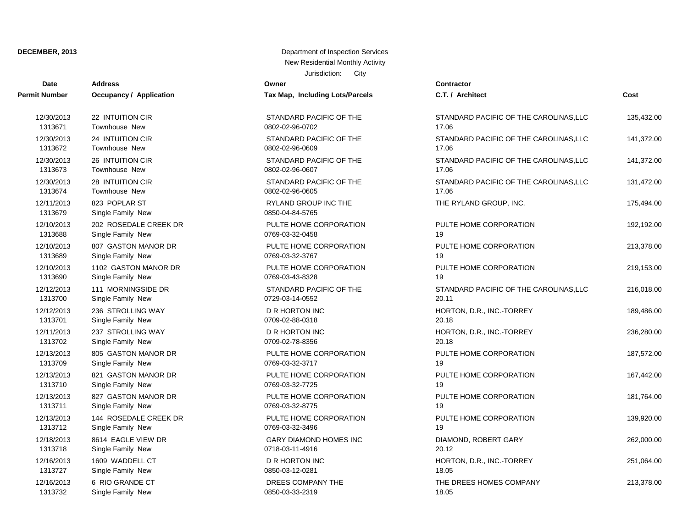| Date          | <b>Address</b>          | Owner                           | Contractor      |
|---------------|-------------------------|---------------------------------|-----------------|
| Permit Number | Occupancy / Application | Tax Map, Including Lots/Parcels | C.T. / Arch     |
| 12/30/2013    | 22 INTUITION CIR        | STANDARD PACIFIC OF THE         | <b>STANDARI</b> |
| 1313671       | <b>Townhouse New</b>    | 0802-02-96-0702                 | 17.06           |
| 12/30/2013    | 24 INTUITION CIR        | STANDARD PACIFIC OF THE         | <b>STANDARI</b> |
| 1313672       | <b>Townhouse New</b>    | 0802-02-96-0609                 | 17.06           |
| 12/30/2013    | 26 INTUITION CIR        | STANDARD PACIFIC OF THE         | <b>STANDARI</b> |
| 1313673       | Townhouse New           | 0802-02-96-0607                 | 17.06           |
| 12/30/2013    | 28 INTUITION CIR        | STANDARD PACIFIC OF THE         | <b>STANDARI</b> |
| 1313674       | Townhouse New           | 0802-02-96-0605                 | 17.06           |
| 12/11/2013    | 823 POPLAR ST           | <b>RYLAND GROUP INC THE</b>     | THE RYLA        |
| 1313679       | Single Family New       | 0850-04-84-5765                 |                 |
| 12/10/2013    | 202 ROSEDALE CREEK DR   | PULTE HOME CORPORATION          | PULTE HO        |
| 1313688       | Single Family New       | 0769-03-32-0458                 | 19              |
| 12/10/2013    | 807 GASTON MANOR DR     | PULTE HOME CORPORATION          | PULTE HO        |
| 1313689       | Single Family New       | 0769-03-32-3767                 | 19              |
| 12/10/2013    | 1102 GASTON MANOR DR    | PULTE HOME CORPORATION          | PULTE HO        |
| 1313690       | Single Family New       | 0769-03-43-8328                 | 19              |
| 12/12/2013    | 111 MORNINGSIDE DR      | STANDARD PACIFIC OF THE         | <b>STANDARI</b> |
| 1313700       | Single Family New       | 0729-03-14-0552                 | 20.11           |
| 12/12/2013    | 236 STROLLING WAY       | <b>D R HORTON INC</b>           | HORTON, I       |
| 1313701       | Single Family New       | 0709-02-88-0318                 | 20.18           |
| 12/11/2013    | 237 STROLLING WAY       | <b>D R HORTON INC</b>           | HORTON,         |
| 1313702       | Single Family New       | 0709-02-78-8356                 | 20.18           |
| 12/13/2013    | 805 GASTON MANOR DR     | PULTE HOME CORPORATION          | PULTE HO        |
| 1313709       | Single Family New       | 0769-03-32-3717                 | 19              |
| 12/13/2013    | 821 GASTON MANOR DR     | PULTE HOME CORPORATION          | PULTE HO        |
| 1313710       | Single Family New       | 0769-03-32-7725                 | 19              |
| 12/13/2013    | 827 GASTON MANOR DR     | PULTE HOME CORPORATION          | PULTE HO        |
| 1313711       | Single Family New       | 0769-03-32-8775                 | 19              |
| 12/13/2013    | 144 ROSEDALE CREEK DR   | PULTE HOME CORPORATION          | PULTE HO        |
| 1313712       | Single Family New       | 0769-03-32-3496                 | 19              |
| 12/18/2013    | 8614 EAGLE VIEW DR      | <b>GARY DIAMOND HOMES INC</b>   | DIAMOND,        |
| 1313718       | Single Family New       | 0718-03-11-4916                 | 20.12           |
| 12/16/2013    | 1609 WADDELL CT         | <b>D R HORTON INC</b>           | HORTON,         |
| 1313727       | Single Family New       | 0850-03-12-0281                 | 18.05           |
| 12/16/2013    | 6 RIO GRANDE CT         | DREES COMPANY THE               | THE DREE        |
| 1313732       | Single Family New       | 0850-03-33-2319                 | 18.05           |

| x Map, Including Lots/Parcels                  |
|------------------------------------------------|
| <b>TANDARD PACIFIC OF THE</b><br>02-02-96-0702 |
| <b>TANDARD PACIFIC OF THE</b><br>02-02-96-0609 |
| <b>TANDARD PACIFIC OF THE</b><br>02-02-96-0607 |
| <b>TANDARD PACIFIC OF THE</b><br>02-02-96-0605 |
| YLAND GROUP INC THE<br>50-04-84-5765           |
| JLTE HOME CORPORATION<br>69-03-32-0458         |
| JLTE HOME CORPORATION<br>69-03-32-3767         |
| JLTE HOME CORPORATION<br>69-03-43-8328         |
| <b>TANDARD PACIFIC OF THE</b><br>29-03-14-0552 |
| R HORTON INC<br>09-02-88-0318                  |
| R HORTON INC<br>09-02-78-8356                  |
| JLTE HOME CORPORATION<br>69-03-32-3717         |
| JLTE HOME CORPORATION<br>69-03-32-7725         |
| JLTE HOME CORPORATION<br>69-03-32-8775         |
| JLTE HOME CORPORATION<br>69-03-32-3496         |
| ARY DIAMOND HOMES INC<br>18-03-11-4916         |
| R HORTON INC<br>50-03-12-0281                  |
| REES COMPANY THE<br>EO OR RRIGO                |

| Permit Number         | Occupancy / Application            | Tax Map, Including Lots/Parcels         | C.T. / Architect                       | Cost       |
|-----------------------|------------------------------------|-----------------------------------------|----------------------------------------|------------|
| 12/30/2013            | 22 INTUITION CIR                   | STANDARD PACIFIC OF THE                 | STANDARD PACIFIC OF THE CAROLINAS, LLC | 135,432.00 |
| 1313671               | Townhouse New                      | 0802-02-96-0702                         | 17.06                                  |            |
| 12/30/2013            | 24 INTUITION CIR                   | STANDARD PACIFIC OF THE                 | STANDARD PACIFIC OF THE CAROLINAS, LLC | 141,372.00 |
| 1313672               | Townhouse New                      | 0802-02-96-0609                         | 17.06                                  |            |
| 12/30/2013            | 26 INTUITION CIR                   | STANDARD PACIFIC OF THE                 | STANDARD PACIFIC OF THE CAROLINAS, LLC | 141,372.00 |
| 1313673               | Townhouse New                      | 0802-02-96-0607                         | 17.06                                  |            |
| 12/30/2013            | 28 INTUITION CIR                   | STANDARD PACIFIC OF THE                 | STANDARD PACIFIC OF THE CAROLINAS, LLC | 131,472.00 |
| 1313674               | Townhouse New                      | 0802-02-96-0605                         | 17.06                                  |            |
| 12/11/2013<br>1313679 | 823 POPLAR ST<br>Single Family New | RYLAND GROUP INC THE<br>0850-04-84-5765 | THE RYLAND GROUP, INC.                 | 175,494.00 |
| 12/10/2013            | 202 ROSEDALE CREEK DR              | PULTE HOME CORPORATION                  | PULTE HOME CORPORATION                 | 192,192.00 |
| 1313688               | Single Family New                  | 0769-03-32-0458                         | 19                                     |            |
| 12/10/2013            | 807 GASTON MANOR DR                | PULTE HOME CORPORATION                  | PULTE HOME CORPORATION                 | 213,378.00 |
| 1313689               | Single Family New                  | 0769-03-32-3767                         | 19                                     |            |
| 12/10/2013            | 1102 GASTON MANOR DR               | PULTE HOME CORPORATION                  | PULTE HOME CORPORATION                 | 219,153.00 |
| 1313690               | Single Family New                  | 0769-03-43-8328                         | 19                                     |            |
| 12/12/2013            | 111 MORNINGSIDE DR                 | STANDARD PACIFIC OF THE                 | STANDARD PACIFIC OF THE CAROLINAS, LLC | 216,018.00 |
| 1313700               | Single Family New                  | 0729-03-14-0552                         | 20.11                                  |            |
| 12/12/2013            | 236 STROLLING WAY                  | <b>D R HORTON INC</b>                   | HORTON, D.R., INC.-TORREY              | 189,486.00 |
| 1313701               | Single Family New                  | 0709-02-88-0318                         | 20.18                                  |            |
| 12/11/2013            | 237 STROLLING WAY                  | D R HORTON INC                          | HORTON, D.R., INC.-TORREY              | 236,280.00 |
| 1313702               | Single Family New                  | 0709-02-78-8356                         | 20.18                                  |            |
| 12/13/2013            | 805 GASTON MANOR DR                | PULTE HOME CORPORATION                  | PULTE HOME CORPORATION                 | 187,572.00 |
| 1313709               | Single Family New                  | 0769-03-32-3717                         | 19                                     |            |
| 12/13/2013            | 821 GASTON MANOR DR                | PULTE HOME CORPORATION                  | PULTE HOME CORPORATION                 | 167,442.00 |
| 1313710               | Single Family New                  | 0769-03-32-7725                         | 19                                     |            |
| 12/13/2013            | 827 GASTON MANOR DR                | PULTE HOME CORPORATION                  | PULTE HOME CORPORATION                 | 181,764.00 |
| 1313711               | Single Family New                  | 0769-03-32-8775                         | 19                                     |            |
| 12/13/2013            | 144 ROSEDALE CREEK DR              | PULTE HOME CORPORATION                  | PULTE HOME CORPORATION                 | 139,920.00 |
| 1313712               | Single Family New                  | 0769-03-32-3496                         | 19                                     |            |
| 12/18/2013            | 8614 EAGLE VIEW DR                 | <b>GARY DIAMOND HOMES INC</b>           | DIAMOND, ROBERT GARY                   | 262,000.00 |
| 1313718               | Single Family New                  | 0718-03-11-4916                         | 20.12                                  |            |
| 12/16/2013            | 1609 WADDELL CT                    | D R HORTON INC                          | HORTON, D.R., INC.-TORREY              | 251,064.00 |
| 1313727               | Single Family New                  | 0850-03-12-0281                         | 18.05                                  |            |
| 12/16/2013            | 6 RIO GRANDE CT                    | DREES COMPANY THE                       | THE DREES HOMES COMPANY                | 213,378.00 |
| 1212722               | Cinale Family Now                  | <b>OREO OP 22 JOHN</b>                  | 100E                                   |            |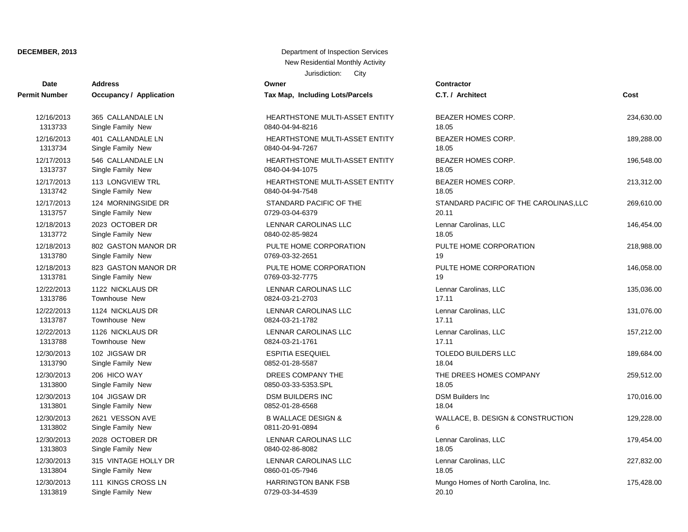# **Date Contractor Address Owner Permit Number Occupancy / Application Tax Map, Including Lots/Parcels** 12/16/2013 401 CALLANDALE LN HEARTHSTONE MULTI-ASSET ENTITY BEATH OF THE ARTHUR HOMES CORP. 189,288.000 HDM. 1313733 Single Family New 0840-04-94-8216 1313733 OR 12/17/2013 113 LONGVIEW TRL **HEARTHSTONE MULTI-ASSET ENTITY BEA** 1313734 Single Family New 08 12/17/2013 124 MORNINGSIDE DR STANDARD PACIFIC OF THE CARD PACIFIC OF THE CARD PACIFIC OF THE CARD PACIFIC OF T 1313737 Single Family New 1313737 08 1313742 Single Family New 08 12/18/2013 802 GASTON MANOR DR P 1313757 Single Family New 07 12/18/2013 823 GASTON MANOR DR PULTE PULTE PULTE HOME CORPORATION PULTE HOME CORPORATION PULTE HOME CORPORATION IN PULTE FOR A VALUE OF CORPORATION IN PULTE FOR A VALUE OF CONTRACT CONTRACT CONTRACT CONTRACT CONTRACT CONTR 1313772 Single Family New 2024 1313780 Single Family New 0769-03-2651 1912-03-2651 1920-03-2651 1920-03-2651 1920-03-2651 1920-03-2651 1920-0 1313781 Single Family New 07 1313786 Townhouse New 2022-03-21-2703 17.12703 17.12703 17.12703 17.12703 17.1270 1313787 Townhouse New 2022-03-21-21-21-21-21-21-22 1313788 Townhouse New 0824-03-21-1761 17.11 1313790 Single Family New 31313790 08 1313800 Single Family New 31353800 Single Family New 12/30/2013 2028 OCTOBER DR L 1313801 Single Family New 31313801 08 12/30/2013 315 VINTAGE HOLLY DR L 1313802 Single Family New 1313802 68 12/30/2013 111 KINGS CROSS LN **HARRISG MUNICIPAL FISH MUNGO HOMES OF NORTH CARDING CARDING CARDING CARDING CAROLIN** 1313803 Single Family New 08 1313804 Single Family New 2060-01-01-01-05-026 1313819 Single Family New 0729-03-34-4539 20.10

## Jurisdiction: City **DECEMBER, 2013** Department of Inspection Services New Residential Monthly Activity

| ал нар,<br><b>THARABI</b>                               |
|---------------------------------------------------------|
| HEARTHSTONE MULTI-ASSET ENTITY<br>840-04-94-8216        |
| <b>IEARTHSTONE MULTI-ASSET ENTITY</b><br>840-04-94-7267 |
| IEARTHSTONE MULTI-ASSET ENTITY<br>840-04-94-1075        |
| <b>IEARTHSTONE MULTI-ASSET ENTITY</b><br>840-04-94-7548 |
| STANDARD PACIFIC OF THE<br>729-03-04-6379               |
| ENNAR CAROLINAS LLC<br>840-02-85-9824                   |
| PULTE HOME CORPORATION<br>769-03-32-2651                |
| PULTE HOME CORPORATION<br>769-03-32-7775                |
| ENNAR CAROLINAS LLC.<br>824-03-21-2703                  |
| ENNAR CAROLINAS LLC.<br>824-03-21-1782                  |
| ENNAR CAROLINAS LLC.<br>824-03-21-1761                  |
| <b>SPITIA ESEQUIEL</b><br>852-01-28-5587                |
| DREES COMPANY THE<br>850-03-33-5353.SPL                 |
| DSM BUILDERS INC<br>852-01-28-6568                      |
| <b>3 WALLACE DESIGN &amp;</b><br>811-20-91-0894         |
| ENNAR CAROLINAS LLC.<br>840-02-86-8082                  |
| <b>ENNAR CAROLINAS LLC</b><br>860-01-05-7946            |
| <b>HARRINGTON BANK FSB</b><br>729-03-34-4539            |
|                                                         |

| it Number  | <b>Occupancy / Application</b> | Tax Map, Including Lots/Parcels | C.T. / Architect                       | Cost       |
|------------|--------------------------------|---------------------------------|----------------------------------------|------------|
| 12/16/2013 | 365 CALLANDALE LN              | HEARTHSTONE MULTI-ASSET ENTITY  | BEAZER HOMES CORP.                     | 234,630.00 |
| 1313733    | Single Family New              | 0840-04-94-8216                 | 18.05                                  |            |
| 12/16/2013 | 401 CALLANDALE LN              | HEARTHSTONE MULTI-ASSET ENTITY  | BEAZER HOMES CORP.                     | 189,288.00 |
| 1313734    | Single Family New              | 0840-04-94-7267                 | 18.05                                  |            |
| 12/17/2013 | 546 CALLANDALE LN              | HEARTHSTONE MULTI-ASSET ENTITY  | BEAZER HOMES CORP.                     | 196,548.00 |
| 1313737    | Single Family New              | 0840-04-94-1075                 | 18.05                                  |            |
| 12/17/2013 | 113 LONGVIEW TRL               | HEARTHSTONE MULTI-ASSET ENTITY  | BEAZER HOMES CORP.                     | 213,312.00 |
| 1313742    | Single Family New              | 0840-04-94-7548                 | 18.05                                  |            |
| 12/17/2013 | 124 MORNINGSIDE DR             | STANDARD PACIFIC OF THE         | STANDARD PACIFIC OF THE CAROLINAS, LLC | 269,610.00 |
| 1313757    | Single Family New              | 0729-03-04-6379                 | 20.11                                  |            |
| 12/18/2013 | 2023 OCTOBER DR                | LENNAR CAROLINAS LLC            | Lennar Carolinas, LLC                  | 146,454.00 |
| 1313772    | Single Family New              | 0840-02-85-9824                 | 18.05                                  |            |
| 12/18/2013 | 802 GASTON MANOR DR            | PULTE HOME CORPORATION          | PULTE HOME CORPORATION                 | 218,988.00 |
| 1313780    | Single Family New              | 0769-03-32-2651                 | 19                                     |            |
| 12/18/2013 | 823 GASTON MANOR DR            | PULTE HOME CORPORATION          | PULTE HOME CORPORATION                 | 146,058.00 |
| 1313781    | Single Family New              | 0769-03-32-7775                 | 19                                     |            |
| 12/22/2013 | 1122 NICKLAUS DR               | LENNAR CAROLINAS LLC            | Lennar Carolinas, LLC                  | 135,036.00 |
| 1313786    | Townhouse New                  | 0824-03-21-2703                 | 17.11                                  |            |
| 12/22/2013 | 1124 NICKLAUS DR               | LENNAR CAROLINAS LLC            | Lennar Carolinas, LLC                  | 131,076.00 |
| 1313787    | Townhouse New                  | 0824-03-21-1782                 | 17.11                                  |            |
| 12/22/2013 | 1126 NICKLAUS DR               | LENNAR CAROLINAS LLC            | Lennar Carolinas, LLC                  | 157,212.00 |
| 1313788    | Townhouse New                  | 0824-03-21-1761                 | 17.11                                  |            |
| 12/30/2013 | 102 JIGSAW DR                  | <b>ESPITIA ESEQUIEL</b>         | TOLEDO BUILDERS LLC                    | 189,684.00 |
| 1313790    | Single Family New              | 0852-01-28-5587                 | 18.04                                  |            |
| 12/30/2013 | 206 HICO WAY                   | DREES COMPANY THE               | THE DREES HOMES COMPANY                | 259,512.00 |
| 1313800    | Single Family New              | 0850-03-33-5353.SPL             | 18.05                                  |            |
| 12/30/2013 | 104 JIGSAW DR                  | <b>DSM BUILDERS INC</b>         | <b>DSM Builders Inc</b>                | 170,016.00 |
| 1313801    | Single Family New              | 0852-01-28-6568                 | 18.04                                  |            |
| 12/30/2013 | 2621 VESSON AVE                | <b>B WALLACE DESIGN &amp;</b>   | WALLACE, B. DESIGN & CONSTRUCTION      | 129,228.00 |
| 1313802    | Single Family New              | 0811-20-91-0894                 | 6                                      |            |
| 12/30/2013 | 2028 OCTOBER DR                | LENNAR CAROLINAS LLC            | Lennar Carolinas, LLC                  | 179,454.00 |
| 1313803    | Single Family New              | 0840-02-86-8082                 | 18.05                                  |            |
| 12/30/2013 | 315 VINTAGE HOLLY DR           | LENNAR CAROLINAS LLC            | Lennar Carolinas, LLC                  | 227,832.00 |
| 1313804    | Single Family New              | 0860-01-05-7946                 | 18.05                                  |            |
| 12/30/2013 | 111 KINGS CROSS LN             | <b>HARRINGTON BANK FSB</b>      | Mungo Homes of North Carolina, Inc.    | 175,428.00 |
| 1212010    | Cinalo Fomily Now              | <b>AZAA AS SA ACSA</b>          | 20.10                                  |            |